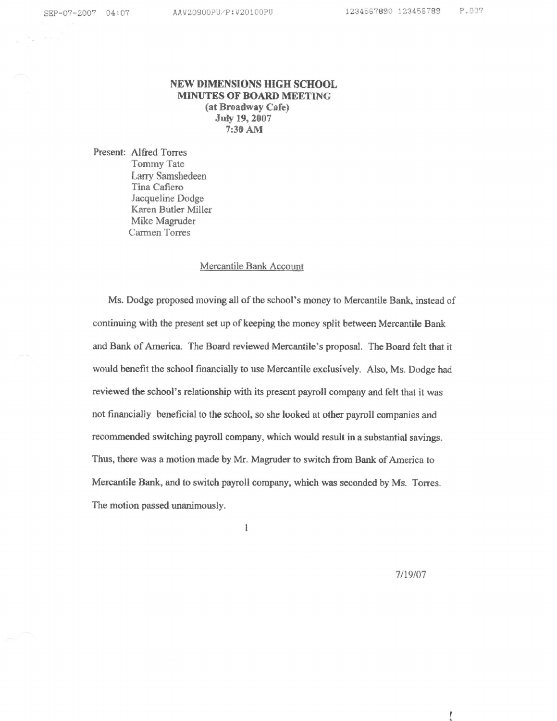# NEW DIMENSIONS HIGH SCHOOL MINUTES OF BOARD MEETING (at Broadway Cafe) July 19,2007 7:30 AM

Present: Alfred Torres Tommy Tate Larry Samshedeen Tina Cafiero Jacqueline Dodge Karen Butler Miller Mike Magruder Carmen Tores

# Mercantile Bank Account

Ms. Dodge proposed moving all of the school's money to Mercantile Bank, instead of continuing with the present set up of keeping the money split between Mercantile Bank and Bank of America. The Board reviewed Mercantile's proposal. The Board felt that it would benefit the school financially to use Mercantile exclusively. Also, Ms. Dodge had reviewed the school's relationship with its present payroll company and felt that it was not financially beneficial to the school, so she looked at other payroll companies and recommended switching payroll company, which would result in a substantial savings. Thus, there was a motion made by Mr. Magruder to switch from Bank of America to Mercantile Bank, and to switch payroll company, which was seconded by Ms. Torres. The motion passed unanimously.

 $\mathbf{l}$ 

 $7/19/07$ 

ţ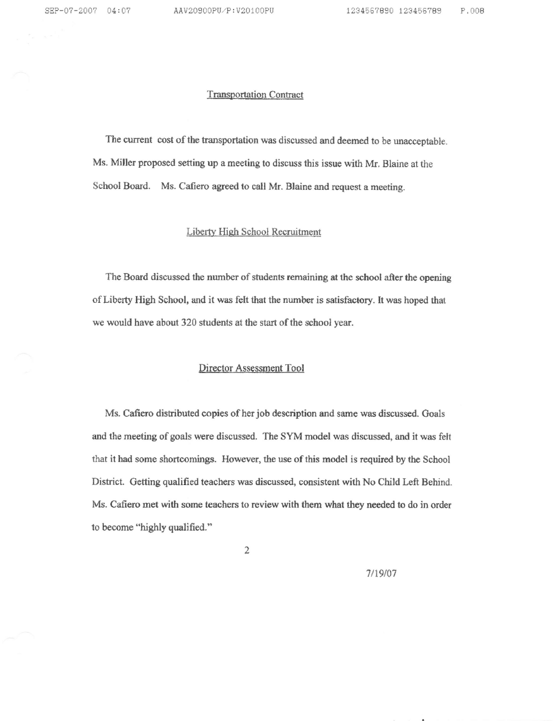#### Transportation Contract

The current cost of the transportation was discussed and deemed to be unacceptable. Ms. Miller proposed setting up ameeting to discuss this issue with Mr, Blaine at the School Board. Ms. Cafiero agreed to call Mr. Blaine and request a meeting.

## Liberty Hieh School Recruitment

The Board discussed the number of students remaining at the school after the opening of Liberty High School, and it was felt that the number is satisfactory. It was hoped that we would have about 320 students at the start of the school year.

#### Director Assessment Tool

Ms. Cafiero distributed copies of her job description and sarne was discussed. Goals and the meeting of goals were discussed. The SYM model was discussed, and it was felt that it had some shortcomings. However, the use of this model is required by the School Distriet. Getting qualified teachers was discussed, consistent with No Child Left Behind. Ms. Cafiero met with some teachers to review with them what they needed to do in order to become "highly qualified."

 $\overline{2}$ 

7/19/07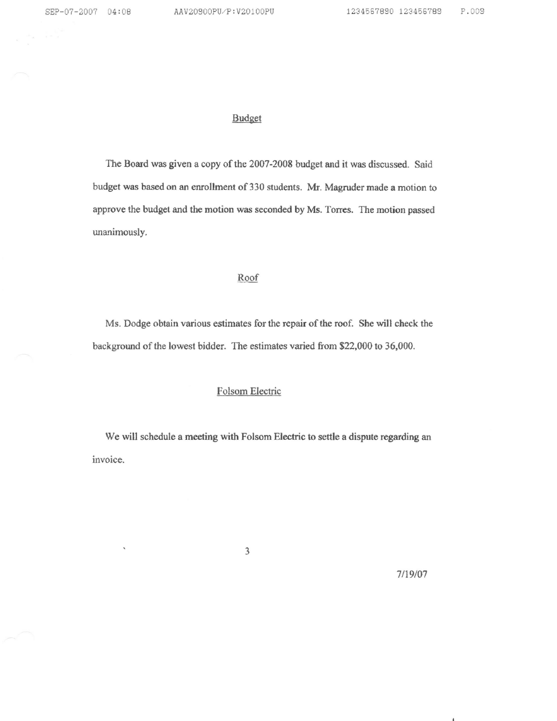## **Budget**

The Board was given a copy of the 2007-2008 budget and it was discussed. Said budget was based on an enrollment of 330 students. Mr. Magruder made a motion to approve the budget ard the motion was seconded by Ms- Torres. The motion passed unanimously.

## Roof

Ms. Dodge obtain various estimates for the repair of the roof, She will check the background of the lowest bidder. The estimates varied from \$22,000 to 36,000.

# Folsom Electric

We will schedule a meeting with Folsom Electric to settle a dispute regarding an invoice.

 $\overline{3}$ 

7/19/07